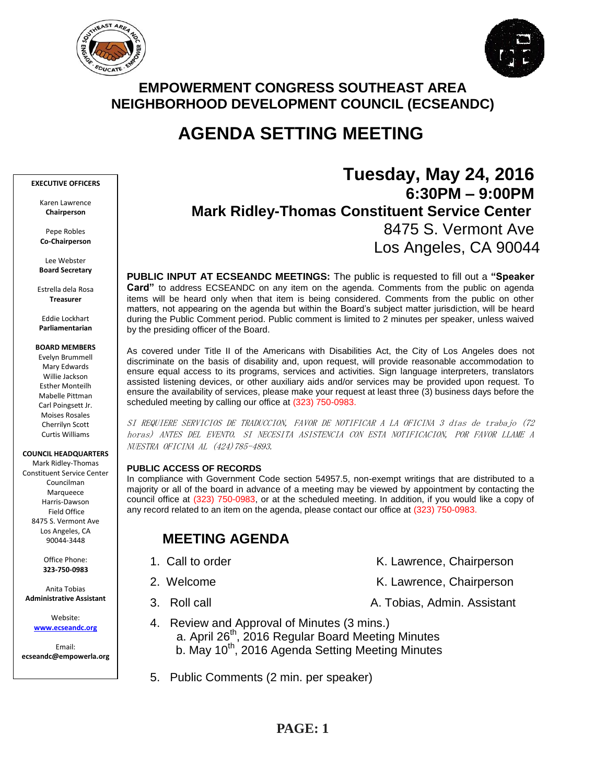



# **EMPOWERMENT CONGRESS SOUTHEAST AREA NEIGHBORHOOD DEVELOPMENT COUNCIL (ECSEANDC)**

# **AGENDA SETTING MEETING**

#### **EXECUTIVE OFFICERS**

Karen Lawrence **Chairperson**

Pepe Robles **Co-Chairperson**

Lee Webster **Board Secretary**

Estrella dela Rosa **Treasurer**

Eddie Lockhart **Parliamentarian**

#### **BOARD MEMBERS**

Evelyn Brummell Mary Edwards Willie Jackson Esther Monteilh Mabelle Pittman Carl Poingsett Jr. Moises Rosales Cherrilyn Scott Curtis Williams

**COUNCIL HEADQUARTERS**

Mark Ridley-Thomas Constituent Service Center Councilman Marqueece Harris-Dawson Field Office 8475 S. Vermont Ave Los Angeles, CA 90044-3448

> Office Phone: **323-750-0983**

Anita Tobias **Administrative Assistant**

Website: **[www.ecseandc.org](http://www.ecseandc.org/)**

Email: **ecseandc@empowerla.org**

# **Tuesday, May 24, 2016 6:30PM – 9:00PM Mark Ridley-Thomas Constituent Service Center** 8475 S. Vermont Ave Los Angeles, CA 90044

**PUBLIC INPUT AT ECSEANDC MEETINGS:** The public is requested to fill out a **"Speaker Card"** to address ECSEANDC on any item on the agenda. Comments from the public on agenda items will be heard only when that item is being considered. Comments from the public on other matters, not appearing on the agenda but within the Board's subject matter jurisdiction, will be heard during the Public Comment period. Public comment is limited to 2 minutes per speaker, unless waived by the presiding officer of the Board.

As covered under Title II of the Americans with Disabilities Act, the City of Los Angeles does not discriminate on the basis of disability and, upon request, will provide reasonable accommodation to ensure equal access to its programs, services and activities. Sign language interpreters, translators assisted listening devices, or other auxiliary aids and/or services may be provided upon request. To ensure the availability of services, please make your request at least three (3) business days before the scheduled meeting by calling our office at (323) 750-0983.

SI REQUIERE SERVICIOS DE TRADUCCION, FAVOR DE NOTIFICAR A LA OFICINA 3 días de trabajo (72 horas) ANTES DEL EVENTO. SI NECESITA ASISTENCIA CON ESTA NOTIFICACION, POR FAVOR LLAME A NUESTRA OFICINA AL (424)785-4893.

### **PUBLIC ACCESS OF RECORDS**

In compliance with Government Code section 54957.5, non-exempt writings that are distributed to a majority or all of the board in advance of a meeting may be viewed by appointment by contacting the council office at (323) 750-0983, or at the scheduled meeting. In addition, if you would like a copy of any record related to an item on the agenda, please contact our office at (323) 750-0983.

# **MEETING AGENDA**

- 1. Call to order The Call to order The Chairperson K. Lawrence, Chairperson
- 2. Welcome **K. Lawrence, Chairperson** 
	- 3. Roll call **A. Tobias, Admin. Assistant**
- 4. Review and Approval of Minutes (3 mins.) a. April 26<sup>th</sup>, 2016 Regular Board Meeting Minutes
	- b. May 10<sup>th</sup>, 2016 Agenda Setting Meeting Minutes
	- 5. Public Comments (2 min. per speaker)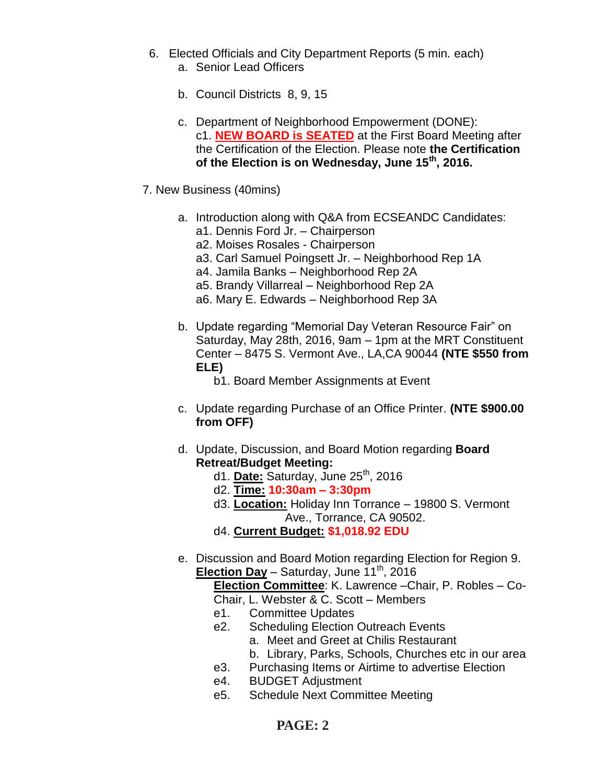- 6. Elected Officials and City Department Reports (5 min. each) a. Senior Lead Officers
	-
	- b. Council Districts 8, 9, 15
	- c. Department of Neighborhood Empowerment (DONE): c1. **NEW BOARD is SEATED** at the First Board Meeting after the Certification of the Election. Please note **the Certification of the Election is on Wednesday, June 15th, 2016.**
- 7. New Business (40mins)
	- a. Introduction along with Q&A from ECSEANDC Candidates:
		- a1. Dennis Ford Jr. Chairperson
		- a2. Moises Rosales Chairperson
		- a3. Carl Samuel Poingsett Jr. Neighborhood Rep 1A
		- a4. Jamila Banks Neighborhood Rep 2A
		- a5. Brandy Villarreal Neighborhood Rep 2A
		- a6. Mary E. Edwards Neighborhood Rep 3A
	- b. Update regarding "Memorial Day Veteran Resource Fair" on Saturday, May 28th, 2016, 9am – 1pm at the MRT Constituent Center – 8475 S. Vermont Ave., LA,CA 90044 **(NTE \$550 from ELE)**
		- b1. Board Member Assignments at Event
	- c. Update regarding Purchase of an Office Printer. **(NTE \$900.00 from OFF)**
	- d. Update, Discussion, and Board Motion regarding **Board Retreat/Budget Meeting:**
		- d1. **Date:** Saturday, June 25th, 2016
		- d2. **Time: 10:30am – 3:30pm**
		- d3. **Location:** Holiday Inn Torrance 19800 S. Vermont Ave., Torrance, CA 90502.
		- d4. **Current Budget: \$1,018.92 EDU**
	- e. Discussion and Board Motion regarding Election for Region 9. **Election Day** – Saturday, June  $11^{th}$ , 2016

**Election Committee**: K. Lawrence –Chair, P. Robles – Co-Chair, L. Webster & C. Scott – Members

- e1. Committee Updates
- e2. Scheduling Election Outreach Events
	- a. Meet and Greet at Chilis Restaurant
	- b. Library, Parks, Schools, Churches etc in our area
- e3. Purchasing Items or Airtime to advertise Election
- e4. BUDGET Adjustment
- e5. Schedule Next Committee Meeting

# **PAGE: 2**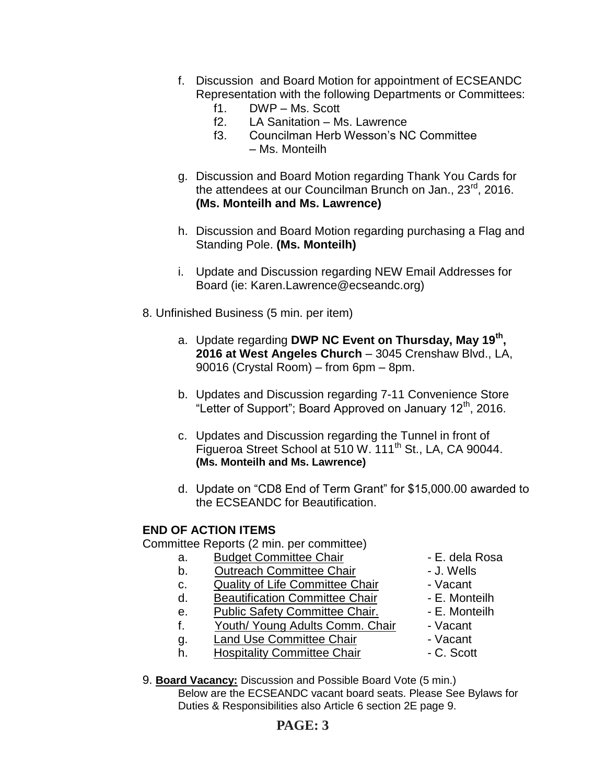- f. Discussion and Board Motion for appointment of ECSEANDC Representation with the following Departments or Committees:
	- f1. DWP Ms. Scott
	- f2. LA Sanitation Ms. Lawrence
	- f3. Councilman Herb Wesson's NC Committee – Ms. Monteilh
- g. Discussion and Board Motion regarding Thank You Cards for the attendees at our Councilman Brunch on Jan., 23<sup>rd</sup>, 2016. **(Ms. Monteilh and Ms. Lawrence)**
- h. Discussion and Board Motion regarding purchasing a Flag and Standing Pole. **(Ms. Monteilh)**
- i. Update and Discussion regarding NEW Email Addresses for Board (ie: Karen.Lawrence@ecseandc.org)
- 8. Unfinished Business (5 min. per item)
	- a. Update regarding **DWP NC Event on Thursday, May 19th , 2016 at West Angeles Church** – 3045 Crenshaw Blvd., LA, 90016 (Crystal Room) – from 6pm – 8pm.
	- b. Updates and Discussion regarding 7-11 Convenience Store "Letter of Support"; Board Approved on January 12<sup>th</sup>, 2016.
	- c. Updates and Discussion regarding the Tunnel in front of Figueroa Street School at 510 W. 111<sup>th</sup> St., LA, CA 90044. **(Ms. Monteilh and Ms. Lawrence)**
	- d. Update on "CD8 End of Term Grant" for \$15,000.00 awarded to the ECSEANDC for Beautification.

## **END OF ACTION ITEMS**

Committee Reports (2 min. per committee)

- a. Budget Committee Chair  **E. dela Rosa**
- b. Outreach Committee Chair **Danisland** J. Wells
- c. Quality of Life Committee Chair Vacant
- d. Beautification Committee Chair E. Monteilh
- e. Public Safety Committee Chair. E. Monteilh
- f. Youth/ Young Adults Comm. Chair Vacant
- 
- g. Land Use Committee Chair The Vacant<br>
Land Use Committee Chair The C. Scott h. Hospitality Committee Chair
- 
- 
- 
- 
- 
- -
	-
- 9. **Board Vacancy:** Discussion and Possible Board Vote (5 min.) Below are the ECSEANDC vacant board seats. Please See Bylaws for

Duties & Responsibilities also Article 6 section 2E page 9.

## **PAGE: 3**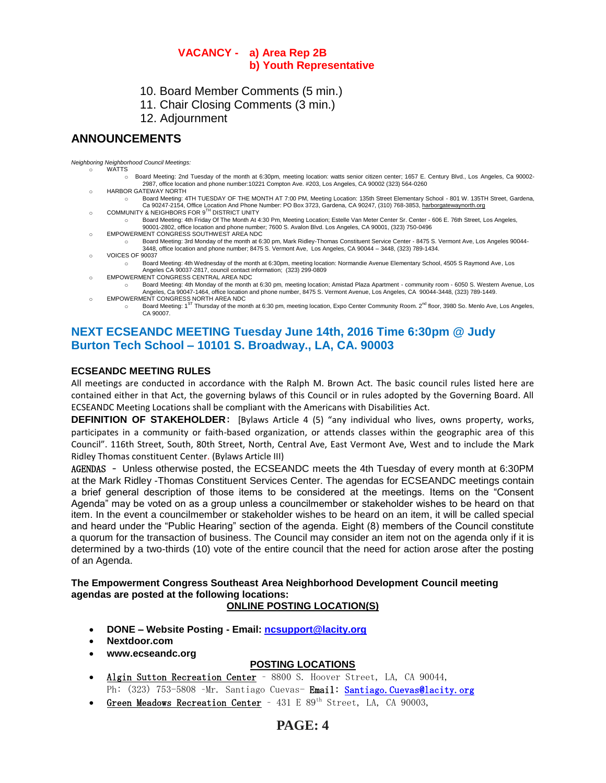### **VACANCY - a) Area Rep 2B b) Youth Representative**

- 10. Board Member Comments (5 min.)
- 11. Chair Closing Comments (3 min.)
- 12. Adjournment

## **ANNOUNCEMENTS**

*Neighboring Neighborhood Council Meetings:*

- o WATTS Board Meeting: 2nd Tuesday of the month at 6:30pm, meeting location: watts senior citizen center; 1657 E. Century Blvd., Los Angeles, Ca 90002-2987, office location and phone number:10221 Compton Ave. #203, Los Angeles, CA 90002 (323) 564-0260
- o HARBOR GATEWAY NORTH
- o Board Meeting: 4TH TUESDAY OF THE MONTH AT 7:00 PM, Meeting Location: 135th Street Elementary School 801 W. 135TH Street, Gardena, Ca 90247-2154, Office Location And Phone Number: PO Box 3723, Gardena, CA 90247, (310) 768-3853, <u>harborgatewaynorth.org وCOMMUNITY & NEIGHBORS FOR 9<sup>TH</sup> DISTRICT UNITY</u>
- o Board Meeting: 4th Friday Of The Month At 4:30 Pm, Meeting Location; Estelle Van Meter Center Sr. Center 606 E. 76th Street, Los Angeles, 90001-2802, office location and phone number; 7600 S. Avalon Blvd. Los Angeles, CA 90001, (323) 750-0496
- EMPOWERMENT CONGRESS SOUTHWEST AREA NDC
	- Board Meeting: 3rd Monday of the month at 6:30 pm, Mark Ridley-Thomas Constituent Service Center 8475 S. Vermont Ave, Los Angeles 90044-<br>3448, office location and phone number; 8475 S. Vermont Ave, Los Angeles, CA 900
- o VOICES OF 90037
	- o Board Meeting: 4th Wednesday of the month at 6:30pm, meeting location: Normandie Avenue Elementary School, 4505 S Raymond Ave, Los Angeles CA 90037-2817, council contact information; (323) 299-0809
- o EMPOWERMENT CONGRESS CENTRAL AREA NDC
- o Board Meeting: 4th Monday of the month at 6:30 pm, meeting location; Amistad Plaza Apartment community room 6050 S. Western Avenue, Los Angeles, Ca 90047-1464, office location and phone number, 8475 S. Vermont Avenue, Los Angeles, CA 90044-3448, (323) 789-1449. o EMPOWERMENT CONGRESS NORTH AREA NDC
- o Board Meeting: 1st Thursday of the month at 6:30 pm, meeting location, Expo Center Community Room. 2<sup>nd</sup> floor, 3980 So. Menlo Ave, Los Angeles, CA 90007.

## **NEXT ECSEANDC MEETING Tuesday June 14th, 2016 Time 6:30pm @ Judy Burton Tech School – 10101 S. Broadway., LA, CA. 90003**

#### **ECSEANDC MEETING RULES**

All meetings are conducted in accordance with the Ralph M. Brown Act. The basic council rules listed here are contained either in that Act, the governing bylaws of this Council or in rules adopted by the Governing Board. All ECSEANDC Meeting Locations shall be compliant with the Americans with Disabilities Act.

**DEFINITION OF STAKEHOLDER**: [Bylaws Article 4 (5) "any individual who lives, owns property, works, participates in a community or faith-based organization, or attends classes within the geographic area of this Council". 116th Street, South, 80th Street, North, Central Ave, East Vermont Ave, West and to include the Mark Ridley Thomas constituent Center. (Bylaws Article III)

AGENDAS – Unless otherwise posted, the ECSEANDC meets the 4th Tuesday of every month at 6:30PM at the Mark Ridley -Thomas Constituent Services Center. The agendas for ECSEANDC meetings contain a brief general description of those items to be considered at the meetings. Items on the "Consent Agenda" may be voted on as a group unless a councilmember or stakeholder wishes to be heard on that item. In the event a councilmember or stakeholder wishes to be heard on an item, it will be called special and heard under the "Public Hearing" section of the agenda. Eight (8) members of the Council constitute a quorum for the transaction of business. The Council may consider an item not on the agenda only if it is determined by a two-thirds (10) vote of the entire council that the need for action arose after the posting of an Agenda.

### **The Empowerment Congress Southeast Area Neighborhood Development Council meeting agendas are posted at the following locations:**

### **ONLINE POSTING LOCATION(S)**

- **DONE – Website Posting - Email: [ncsupport@lacity.org](mailto:ncsupport@lacity.org)**
- **Nextdoor.com**
- **www.ecseandc.org**

### **POSTING LOCATIONS**

- Algin Sutton Recreation Center 8800 S. Hoover Street, LA, CA 90044, Ph: (323) 753-5808 -Mr. Santiago Cuevas- Email: Santiago. Cuevas@lacity.org
- Green Meadows Recreation Center 431 E 89<sup>th</sup> Street, LA, CA 90003,

# **PAGE: 4**